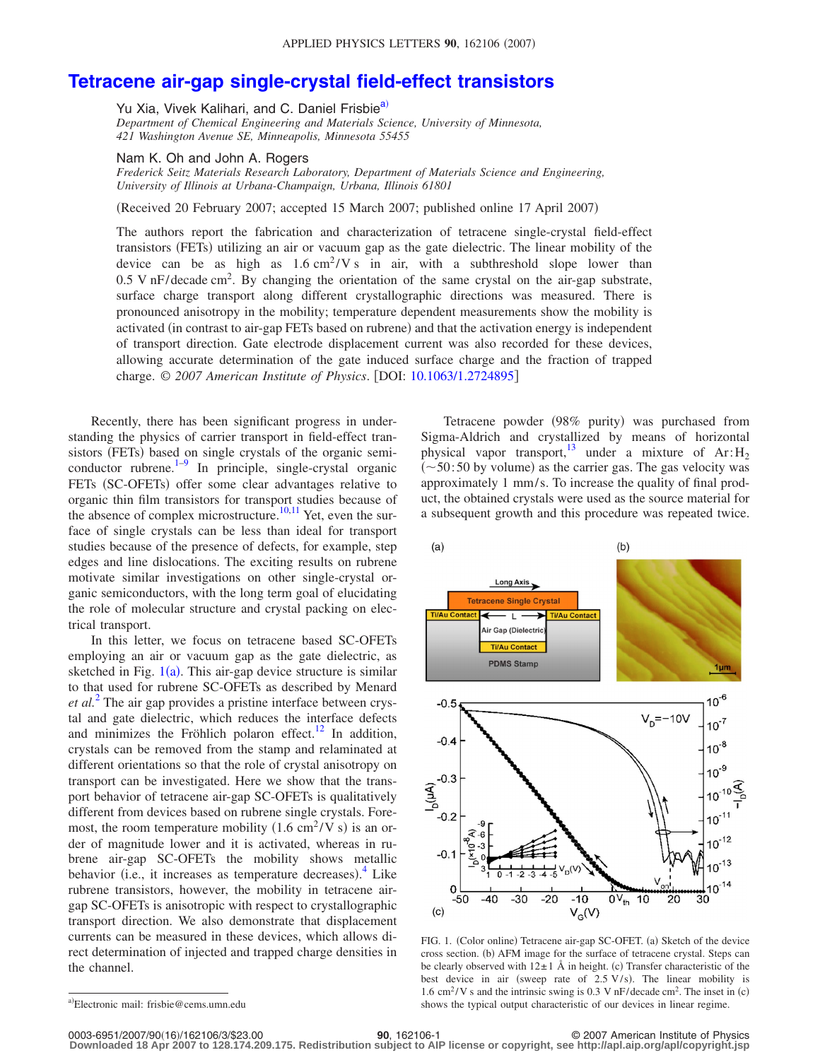## **[Tetracene air-gap single-crystal field-effect transistors](http://dx.doi.org/10.1063/1.2724895)**

Yu Xia, Vivek Kalihari, and C. Daniel Frisbie<sup>a)</sup>

*Department of Chemical Engineering and Materials Science, University of Minnesota, 421 Washington Avenue SE, Minneapolis, Minnesota 55455*

Nam K. Oh and John A. Rogers

*Frederick Seitz Materials Research Laboratory, Department of Materials Science and Engineering, University of Illinois at Urbana-Champaign, Urbana, Illinois 61801*

(Received 20 February 2007; accepted 15 March 2007; published online 17 April 2007)

The authors report the fabrication and characterization of tetracene single-crystal field-effect transistors (FETs) utilizing an air or vacuum gap as the gate dielectric. The linear mobility of the device can be as high as  $1.6 \text{ cm}^2/\text{V s}$  in air, with a subthreshold slope lower than 0.5 V nF/decade cm<sup>2</sup>. By changing the orientation of the same crystal on the air-gap substrate, surface charge transport along different crystallographic directions was measured. There is pronounced anisotropy in the mobility; temperature dependent measurements show the mobility is activated (in contrast to air-gap FETs based on rubrene) and that the activation energy is independent of transport direction. Gate electrode displacement current was also recorded for these devices, allowing accurate determination of the gate induced surface charge and the fraction of trapped charge. © *2007 American Institute of Physics*. DOI: [10.1063/1.2724895](http://dx.doi.org/10.1063/1.2724895)

Recently, there has been significant progress in understanding the physics of carrier transport in field-effect transistors (FETs) based on single crystals of the organic semiconductor rubrene. $1-9$  In principle, single-crystal organic FETs (SC-OFETs) offer some clear advantages relative to organic thin film transistors for transport studies because of the absence of complex microstructure.<sup>10[,11](#page-2-3)</sup> Yet, even the surface of single crystals can be less than ideal for transport studies because of the presence of defects, for example, step edges and line dislocations. The exciting results on rubrene motivate similar investigations on other single-crystal organic semiconductors, with the long term goal of elucidating the role of molecular structure and crystal packing on electrical transport.

In this letter, we focus on tetracene based SC-OFETs employing an air or vacuum gap as the gate dielectric, as sketched in Fig.  $1(a)$  $1(a)$ . This air-gap device structure is similar to that used for rubrene SC-OFETs as described by Menard *et al.*[2](#page-2-4) The air gap provides a pristine interface between crystal and gate dielectric, which reduces the interface defects and minimizes the Fröhlich polaron effect.<sup>12</sup> In addition, crystals can be removed from the stamp and relaminated at different orientations so that the role of crystal anisotropy on transport can be investigated. Here we show that the transport behavior of tetracene air-gap SC-OFETs is qualitatively different from devices based on rubrene single crystals. Foremost, the room temperature mobility  $(1.6 \text{ cm}^2/\text{V s})$  is an order of magnitude lower and it is activated, whereas in rubrene air-gap SC-OFETs the mobility shows metallic behavior (i.e., it increases as temperature decreases).<sup>[4](#page-2-6)</sup> Like rubrene transistors, however, the mobility in tetracene airgap SC-OFETs is anisotropic with respect to crystallographic transport direction. We also demonstrate that displacement currents can be measured in these devices, which allows direct determination of injected and trapped charge densities in the channel.

Tetracene powder (98% purity) was purchased from Sigma-Aldrich and crystallized by means of horizontal physical vapor transport,<sup>13</sup> under a mixture of  $Ar:H_2$  $(\sim 50: 50$  by volume) as the carrier gas. The gas velocity was approximately 1 mm/s. To increase the quality of final product, the obtained crystals were used as the source material for a subsequent growth and this procedure was repeated twice.

<span id="page-0-1"></span>

FIG. 1. (Color online) Tetracene air-gap SC-OFET. (a) Sketch of the device cross section. (b) AFM image for the surface of tetracene crystal. Steps can be clearly observed with  $12 \pm 1$  Å in height. (c) Transfer characteristic of the best device in air (sweep rate of  $2.5 \text{ V/s}$ ). The linear mobility is 1.6 cm<sup>2</sup>/V s and the intrinsic swing is 0.3 V nF/decade cm<sup>2</sup>. The inset in (c) shows the typical output characteristic of our devices in linear regime.

0003-6951/2007/90(16)/162106/3/\$23.00

<span id="page-0-0"></span>a)Electronic mail: frisbie@cems.umn.edu

**<sup>90</sup>**, 162106-1 © 2007 American Institute of Physics **Downloaded 18 Apr 2007 to 128.174.209.175. Redistribution subject to AIP license or copyright, see http://apl.aip.org/apl/copyright.jsp**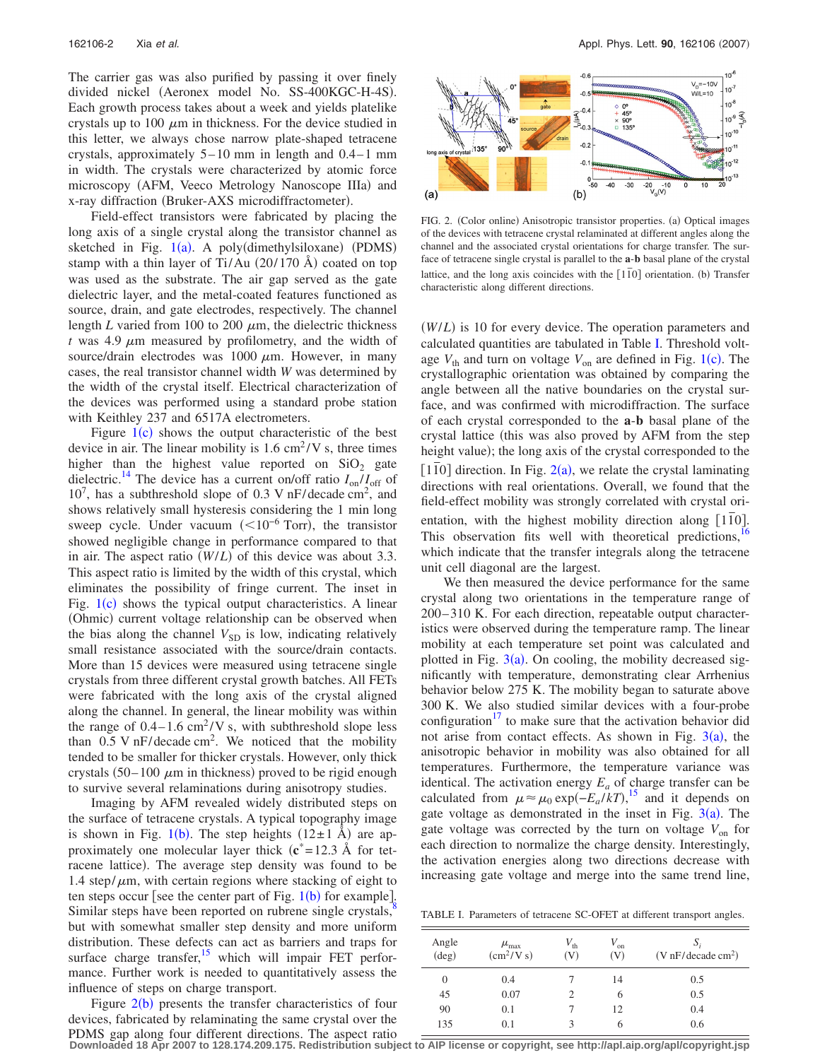The carrier gas was also purified by passing it over finely divided nickel (Aeronex model No. SS-400KGC-H-4S). Each growth process takes about a week and yields platelike crystals up to 100  $\mu$ m in thickness. For the device studied in this letter, we always chose narrow plate-shaped tetracene crystals, approximately  $5-10$  mm in length and  $0.4-1$  mm in width. The crystals were characterized by atomic force microscopy (AFM, Veeco Metrology Nanoscope IIIa) and x-ray diffraction (Bruker-AXS microdiffractometer).

Field-effect transistors were fabricated by placing the long axis of a single crystal along the transistor channel as sketched in Fig.  $1(a)$  $1(a)$ . A poly(dimethylsiloxane) (PDMS) stamp with a thin layer of Ti/Au  $(20/170 \text{ Å})$  coated on top was used as the substrate. The air gap served as the gate dielectric layer, and the metal-coated features functioned as source, drain, and gate electrodes, respectively. The channel length  $L$  varied from 100 to 200  $\mu$ m, the dielectric thickness  $t$  was 4.9  $\mu$ m measured by profilometry, and the width of source/drain electrodes was  $1000 \mu m$ . However, in many cases, the real transistor channel width *W* was determined by the width of the crystal itself. Electrical characterization of the devices was performed using a standard probe station with Keithley 237 and 6517A electrometers.

Figure  $1(c)$  $1(c)$  shows the output characteristic of the best device in air. The linear mobility is  $1.6 \text{ cm}^2/\text{V}$  s, three times higher than the highest value reported on  $SiO<sub>2</sub>$  gate dielectric.<sup>14</sup> The device has a current on/off ratio  $I_{on}/I_{off}$  of  $10^7$ , has a subthreshold slope of 0.3 V nF/decade cm<sup>2</sup>, and shows relatively small hysteresis considering the 1 min long sweep cycle. Under vacuum  $(<10^{-6}$  Torr), the transistor showed negligible change in performance compared to that in air. The aspect ratio  $(W/L)$  of this device was about 3.3. This aspect ratio is limited by the width of this crystal, which eliminates the possibility of fringe current. The inset in Fig.  $1(c)$  $1(c)$  shows the typical output characteristics. A linear (Ohmic) current voltage relationship can be observed when the bias along the channel  $V_{SD}$  is low, indicating relatively small resistance associated with the source/drain contacts. More than 15 devices were measured using tetracene single crystals from three different crystal growth batches. All FETs were fabricated with the long axis of the crystal aligned along the channel. In general, the linear mobility was within the range of  $0.4-1.6$  cm<sup>2</sup>/V s, with subthreshold slope less than  $0.5 \text{ V} \text{ nF}/\text{decade cm}^2$ . We noticed that the mobility tended to be smaller for thicker crystals. However, only thick crystals  $(50-100 \ \mu m)$  in thickness) proved to be rigid enough to survive several relaminations during anisotropy studies.

Imaging by AFM revealed widely distributed steps on the surface of tetracene crystals. A typical topography image is shown in Fig. [1](#page-0-1)(b). The step heights  $(12\pm 1 \text{ Å})$  are approximately one molecular layer thick  $(c^* = 12.3 \text{ Å}$  for tetracene lattice). The average step density was found to be 1.4 step/ $\mu$ m, with certain regions where stacking of eight to ten steps occur [see the center part of Fig.  $1(b)$  $1(b)$  for example]. Similar steps have been reported on rubrene single crystals, $\frac{8}{3}$ but with somewhat smaller step density and more uniform distribution. These defects can act as barriers and traps for surface charge transfer,<sup>15</sup> which will impair FET performance. Further work is needed to quantitatively assess the influence of steps on charge transport.

Figure  $2(b)$  $2(b)$  presents the transfer characteristics of four devices, fabricated by relaminating the same crystal over the PDMS gap along four different directions. The aspect ratio

<span id="page-1-0"></span>

FIG. 2. (Color online) Anisotropic transistor properties. (a) Optical images of the devices with tetracene crystal relaminated at different angles along the channel and the associated crystal orientations for charge transfer. The surface of tetracene single crystal is parallel to the **a**-**b** basal plane of the crystal lattice, and the long axis coincides with the  $[1\overline{1}0]$  orientation. (b) Transfer characteristic along different directions.

(*W/L*) is 10 for every device. The operation parameters and calculated quantities are tabulated in Table [I.](#page-1-1) Threshold voltage  $V_{th}$  and turn on voltage  $V_{on}$  are defined in Fig. [1](#page-0-1)(c). The crystallographic orientation was obtained by comparing the angle between all the native boundaries on the crystal surface, and was confirmed with microdiffraction. The surface of each crystal corresponded to the **a**-**b** basal plane of the crystal lattice (this was also proved by AFM from the step height value); the long axis of the crystal corresponded to the  $11\overline{10}$  direction. In Fig.  $2(a)$  $2(a)$ , we relate the crystal laminating directions with real orientations. Overall, we found that the field-effect mobility was strongly correlated with crystal orientation, with the highest mobility direction along [110]. This observation fits well with theoretical predictions,<sup>1</sup> which indicate that the transfer integrals along the tetracene unit cell diagonal are the largest.

We then measured the device performance for the same crystal along two orientations in the temperature range of 200– 310 K. For each direction, repeatable output characteristics were observed during the temperature ramp. The linear mobility at each temperature set point was calculated and plotted in Fig.  $3(a)$  $3(a)$ . On cooling, the mobility decreased significantly with temperature, demonstrating clear Arrhenius behavior below 275 K. The mobility began to saturate above 300 K. We also studied similar devices with a four-probe configuration<sup>17</sup> to make sure that the activation behavior did not arise from contact effects. As shown in Fig.  $3(a)$  $3(a)$ , the anisotropic behavior in mobility was also obtained for all temperatures. Furthermore, the temperature variance was identical. The activation energy  $E_a$  of charge transfer can be calculated from  $\mu \approx \mu_0 \exp(-E_a/kT)$ ,<sup>[15](#page-2-10)</sup> and it depends on gate voltage as demonstrated in the inset in Fig.  $3(a)$  $3(a)$ . The gate voltage was corrected by the turn on voltage  $V_{on}$  for each direction to normalize the charge density. Interestingly, the activation energies along two directions decrease with increasing gate voltage and merge into the same trend line,

<span id="page-1-1"></span>TABLE I. Parameters of tetracene SC-OFET at different transport angles.

| Angle<br>$(\text{deg})$ | $\mu_{\text{max}}$<br>$\text{(cm}^2/\text{V s})$ | $V_{\text{th}}$<br>(V) | $V_{\rm on}$<br>(V) | S,<br>(V nF/decade cm <sup>2</sup> ) |
|-------------------------|--------------------------------------------------|------------------------|---------------------|--------------------------------------|
| 0                       | 0.4                                              |                        | 14                  | 0.5                                  |
| 45                      | 0.07                                             | 2                      | 6                   | 0.5                                  |
| 90                      | 0.1                                              |                        | 12                  | 0.4                                  |
| 135                     | 0.1                                              | 3                      | O                   | 0.6                                  |

**Downloaded 18 Apr 2007 to 128.174.209.175. Redistribution subject to AIP license or copyright, see http://apl.aip.org/apl/copyright.jsp**